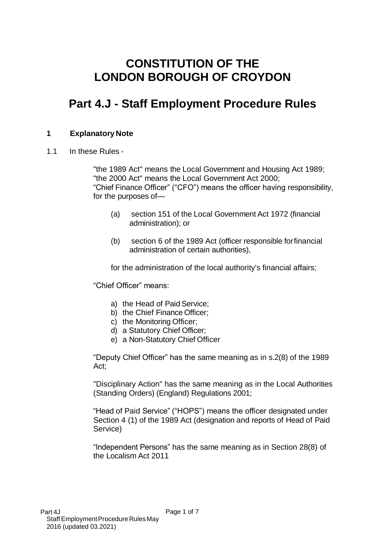# **CONSTITUTION OF THE LONDON BOROUGH OF CROYDON**

# **Part 4.J - Staff Employment Procedure Rules**

# **1 Explanatory Note**

1.1 In these Rules -

"the 1989 Act" means the Local Government and Housing Act 1989; "the 2000 Act" means the Local Government Act 2000; "Chief Finance Officer" ("CFO") means the officer having responsibility, for the purposes of—

- (a) section 151 of the Local Government Act 1972 (financial administration); or
- (b) section 6 of the 1989 Act (officer responsible for financial administration of certain authorities),

for the administration of the local authority's financial affairs;

"Chief Officer" means:

- a) the Head of Paid Service;
- b) the Chief Finance Officer;
- c) the Monitoring Officer;
- d) a Statutory Chief Officer;
- e) a Non-Statutory Chief Officer

"Deputy Chief Officer" has the same meaning as in s.2(8) of the 1989 Act;

"Disciplinary Action" has the same meaning as in the Local Authorities (Standing Orders) (England) Regulations 2001;

"Head of Paid Service" ("HOPS") means the officer designated under Section 4 (1) of the 1989 Act (designation and reports of Head of Paid Service)

"Independent Persons" has the same meaning as in Section 28(8) of the Localism Act 2011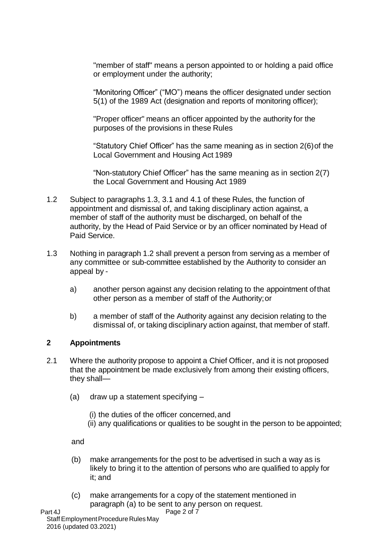"member of staff" means a person appointed to or holding a paid office or employment under the authority;

"Monitoring Officer" ("MO") means the officer designated under section 5(1) of the 1989 Act (designation and reports of monitoring officer);

"Proper officer" means an officer appointed by the authority for the purposes of the provisions in these Rules

"Statutory Chief Officer" has the same meaning as in section 2(6) of the Local Government and Housing Act 1989

"Non-statutory Chief Officer" has the same meaning as in section 2(7) the Local Government and Housing Act 1989

- 1.2 Subject to paragraphs 1.3, 3.1 and 4.1 of these Rules, the function of appointment and dismissal of, and taking disciplinary action against, a member of staff of the authority must be discharged, on behalf of the authority, by the Head of Paid Service or by an officer nominated by Head of Paid Service.
- 1.3 Nothing in paragraph 1.2 shall prevent a person from serving as a member of any committee or sub-committee established by the Authority to consider an appeal by
	- a) another person against any decision relating to the appointment of that other person as a member of staff of the Authority; or
	- b) a member of staff of the Authority against any decision relating to the dismissal of, or taking disciplinary action against, that member of staff.

### **2 Appointments**

- 2.1 Where the authority propose to appoint a Chief Officer, and it is not proposed that the appointment be made exclusively from among their existing officers, they shall—
	- (a) draw up a statement specifying
		- (i) the duties of the officer concerned, and
		- (ii) any qualifications or qualities to be sought in the person to be appointed;

and

- (b) make arrangements for the post to be advertised in such a way as is likely to bring it to the attention of persons who are qualified to apply for it; and
- Page 2 of 7 (c) make arrangements for a copy of the statement mentioned in paragraph (a) to be sent to any person on request.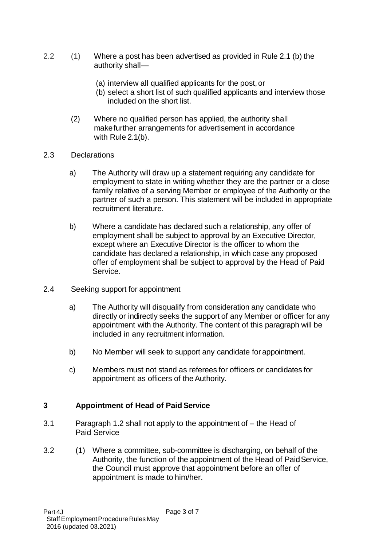- 2.2 (1) Where a post has been advertised as provided in Rule 2.1 (b) the authority shall—
	- (a) interview all qualified applicants for the post, or
	- (b) select a short list of such qualified applicants and interview those included on the short list.
	- (2) Where no qualified person has applied, the authority shall make further arrangements for advertisement in accordance with Rule 2.1(b).
- 2.3 Declarations
	- a) The Authority will draw up a statement requiring any candidate for employment to state in writing whether they are the partner or a close family relative of a serving Member or employee of the Authority or the partner of such a person. This statement will be included in appropriate recruitment literature.
	- b) Where a candidate has declared such a relationship, any offer of employment shall be subject to approval by an Executive Director, except where an Executive Director is the officer to whom the candidate has declared a relationship, in which case any proposed offer of employment shall be subject to approval by the Head of Paid Service.
- 2.4 Seeking support for appointment
	- a) The Authority will disqualify from consideration any candidate who directly or indirectly seeks the support of any Member or officer for any appointment with the Authority. The content of this paragraph will be included in any recruitment information.
	- b) No Member will seek to support any candidate for appointment.
	- c) Members must not stand as referees for officers or candidates for appointment as officers of the Authority.

### **3 Appointment of Head of Paid Service**

- 3.1 Paragraph 1.2 shall not apply to the appointment of the Head of Paid Service
- 3.2 (1) Where a committee, sub-committee is discharging, on behalf of the Authority, the function of the appointment of the Head of Paid Service, the Council must approve that appointment before an offer of appointment is made to him/her.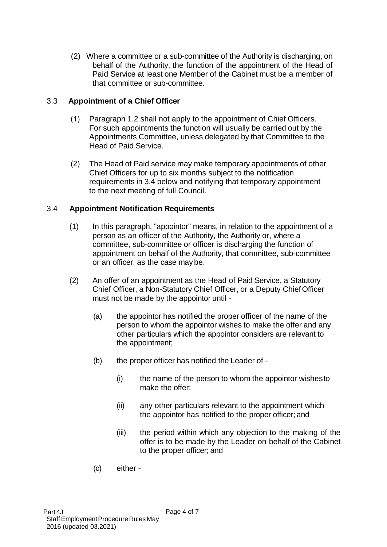(2) Where a committee or a sub-committee of the Authority is discharging, on behalf of the Authority, the function of the appointment of the Head of Paid Service at least one Member of the Cabinet must be a member of that committee or sub-committee.

## 3.3 **Appointment of a Chief Officer**

- (1) Paragraph 1.2 shall not apply to the appointment of Chief Officers. For such appointments the function will usually be carried out by the Appointments Committee, unless delegated by that Committee to the Head of Paid Service.
- (2) The Head of Paid service may make temporary appointments of other Chief Officers for up to six months subject to the notification requirements in 3.4 below and notifying that temporary appointment to the next meeting of full Council.

## 3.4 **Appointment Notification Requirements**

- (1) In this paragraph, "appointor" means, in relation to the appointment of a person as an officer of the Authority, the Authority or, where a committee, sub-committee or officer is discharging the function of appointment on behalf of the Authority, that committee, sub-committee or an officer, as the case may be.
- (2) An offer of an appointment as the Head of Paid Service, a Statutory Chief Officer, a Non-Statutory Chief Officer, or a Deputy Chief Officer must not be made by the appointor until -
	- (a) the appointor has notified the proper officer of the name of the person to whom the appointor wishes to make the offer and any other particulars which the appointor considers are relevant to the appointment;
	- (b) the proper officer has notified the Leader of
		- (i) the name of the person to whom the appointor wishes to make the offer;
		- (ii) any other particulars relevant to the appointment which the appointor has notified to the proper officer; and
		- (iii) the period within which any objection to the making of the offer is to be made by the Leader on behalf of the Cabinet to the proper officer; and
	- (c) either -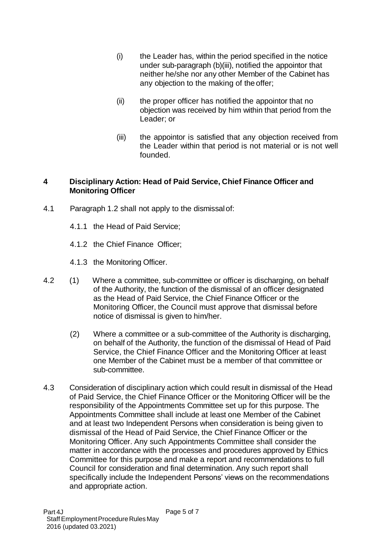- (i) the Leader has, within the period specified in the notice under sub-paragraph (b)(iii), notified the appointor that neither he/she nor any other Member of the Cabinet has any objection to the making of the offer;
- (ii) the proper officer has notified the appointor that no objection was received by him within that period from the Leader; or
- (iii) the appointor is satisfied that any objection received from the Leader within that period is not material or is not well founded.

## **4 Disciplinary Action: Head of Paid Service, Chief Finance Officer and Monitoring Officer**

- 4.1 Paragraph 1.2 shall not apply to the dismissal of:
	- 4.1.1 the Head of Paid Service;
	- 4.1.2 the Chief Finance Officer;
	- 4.1.3 the Monitoring Officer.
- 4.2 (1) Where a committee, sub-committee or officer is discharging, on behalf of the Authority, the function of the dismissal of an officer designated as the Head of Paid Service, the Chief Finance Officer or the Monitoring Officer, the Council must approve that dismissal before notice of dismissal is given to him/her.
	- (2) Where a committee or a sub-committee of the Authority is discharging, on behalf of the Authority, the function of the dismissal of Head of Paid Service, the Chief Finance Officer and the Monitoring Officer at least one Member of the Cabinet must be a member of that committee or sub-committee.
- 4.3 Consideration of disciplinary action which could result in dismissal of the Head of Paid Service, the Chief Finance Officer or the Monitoring Officer will be the responsibility of the Appointments Committee set up for this purpose. The Appointments Committee shall include at least one Member of the Cabinet and at least two Independent Persons when consideration is being given to dismissal of the Head of Paid Service, the Chief Finance Officer or the Monitoring Officer. Any such Appointments Committee shall consider the matter in accordance with the processes and procedures approved by Ethics Committee for this purpose and make a report and recommendations to full Council for consideration and final determination. Any such report shall specifically include the Independent Persons' views on the recommendations and appropriate action.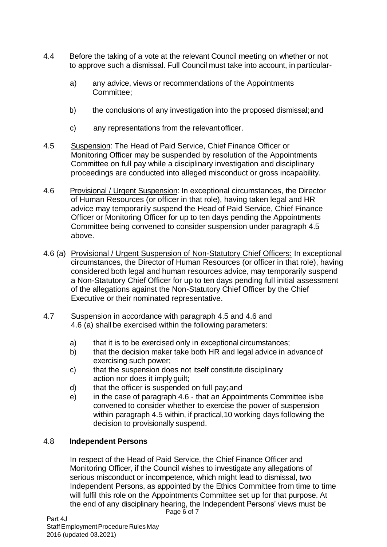- 4.4 Before the taking of a vote at the relevant Council meeting on whether or not to approve such a dismissal. Full Council must take into account, in particular
	- a) any advice, views or recommendations of the Appointments Committee;
	- b) the conclusions of any investigation into the proposed dismissal; and
	- c) any representations from the relevant officer.
- 4.5 Suspension: The Head of Paid Service, Chief Finance Officer or Monitoring Officer may be suspended by resolution of the Appointments Committee on full pay while a disciplinary investigation and disciplinary proceedings are conducted into alleged misconduct or gross incapability.
- 4.6 Provisional / Urgent Suspension: In exceptional circumstances, the Director of Human Resources (or officer in that role), having taken legal and HR advice may temporarily suspend the Head of Paid Service, Chief Finance Officer or Monitoring Officer for up to ten days pending the Appointments Committee being convened to consider suspension under paragraph 4.5 above.
- 4.6 (a) Provisional / Urgent Suspension of Non-Statutory Chief Officers: In exceptional circumstances, the Director of Human Resources (or officer in that role), having considered both legal and human resources advice, may temporarily suspend a Non-Statutory Chief Officer for up to ten days pending full initial assessment of the allegations against the Non-Statutory Chief Officer by the Chief Executive or their nominated representative.
- 4.7 Suspension in accordance with paragraph 4.5 and 4.6 and 4.6 (a) shall be exercised within the following parameters:
	- a) that it is to be exercised only in exceptional circumstances;
	- b) that the decision maker take both HR and legal advice in advance of exercising such power;
	- c) that the suspension does not itself constitute disciplinary action nor does it imply guilt;
	- d) that the officer is suspended on full pay; and
	- e) in the case of paragraph 4.6 that an Appointments Committee isbe convened to consider whether to exercise the power of suspension within paragraph 4.5 within, if practical,10 working days following the decision to provisionally suspend.

# 4.8 **Independent Persons**

In respect of the Head of Paid Service, the Chief Finance Officer and Monitoring Officer, if the Council wishes to investigate any allegations of serious misconduct or incompetence, which might lead to dismissal, two Independent Persons, as appointed by the Ethics Committee from time to time will fulfil this role on the Appointments Committee set up for that purpose. At the end of any disciplinary hearing, the Independent Persons' views must be

Page 6 of 7